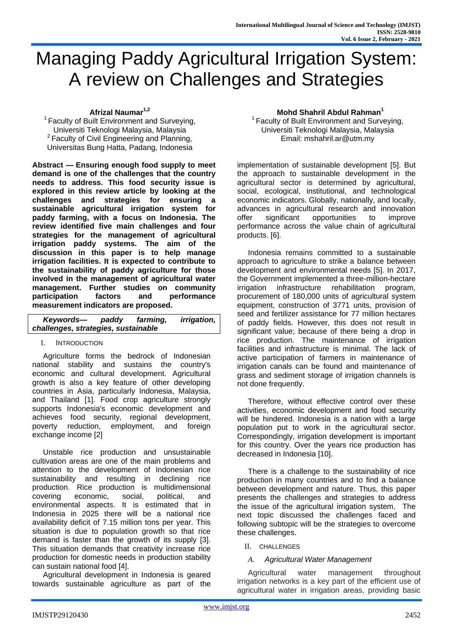# Managing Paddy Agricultural Irrigation System: A review on Challenges and Strategies

**Afrizal Naumar1,2**

 $1$  Faculty of Built Environment and Surveying, Universiti Teknologi Malaysia, Malaysia <sup>2</sup> Faculty of Civil Engineering and Planning, Universitas Bung Hatta, Padang, Indonesia

**Abstract — Ensuring enough food supply to meet demand is one of the challenges that the country needs to address. This food security issue is explored in this review article by looking at the challenges and strategies for ensuring a sustainable agricultural irrigation system for paddy farming, with a focus on Indonesia. The review identified five main challenges and four strategies for the management of agricultural irrigation paddy systems. The aim of the discussion in this paper is to help manage irrigation facilities. It is expected to contribute to the sustainability of paddy agriculture for those involved in the management of agricultural water management. Further studies on community participation factors and performance measurement indicators are proposed.** 

| Keywords-                           | paddy | farming. | <i>irrigation,</i> |
|-------------------------------------|-------|----------|--------------------|
| challenges, strategies, sustainable |       |          |                    |

# I. INTRODUCTION

Agriculture forms the bedrock of Indonesian national stability and sustains the country's economic and cultural development. Agricultural growth is also a key feature of other developing countries in Asia, particularly Indonesia, Malaysia, and Thailand [1]. Food crop agriculture strongly supports Indonesia's economic development and achieves food security, regional development, poverty reduction, employment, and foreign exchange income [2]

Unstable rice production and unsustainable cultivation areas are one of the main problems and attention to the development of Indonesian rice sustainability and resulting in declining rice production. Rice production is multidimensional covering economic, social, political, and environmental aspects. It is estimated that in Indonesia in 2025 there will be a national rice availability deficit of 7.15 million tons per year. This situation is due to population growth so that rice demand is faster than the growth of its supply [3]. This situation demands that creativity increase rice production for domestic needs in production stability can sustain national food [4].

Agricultural development in Indonesia is geared towards sustainable agriculture as part of the

#### **Mohd Shahril Abdul Rahman<sup>1</sup>**

 $1$  Faculty of Built Environment and Surveying, Universiti Teknologi Malaysia, Malaysia Email: mshahril.ar@utm.my

implementation of sustainable development [5]. But the approach to sustainable development in the agricultural sector is determined by agricultural, social, ecological, institutional, and technological economic indicators. Globally, nationally, and locally, advances in agricultural research and innovation offer significant opportunities to improve performance across the value chain of agricultural products. [6].

Indonesia remains committed to a sustainable approach to agriculture to strike a balance between development and environmental needs [5]. In 2017, the Government implemented a three-million-hectare irrigation infrastructure rehabilitation program, procurement of 180,000 units of agricultural system equipment, construction of 3771 units, provision of seed and fertilizer assistance for 77 million hectares of paddy fields. However, this does not result in significant value; because of there being a drop in rice production. The maintenance of irrigation facilities and infrastructure is minimal. The lack of active participation of farmers in maintenance of irrigation canals can be found and maintenance of grass and sediment storage of irrigation channels is not done frequently.

Therefore, without effective control over these activities, economic development and food security will be hindered. Indonesia is a nation with a large population put to work in the agricultural sector. Correspondingly, irrigation development is important for this country. Over the years rice production has decreased in Indonesia [10].

There is a challenge to the sustainability of rice production in many countries and to find a balance between development and nature. Thus, this paper presents the challenges and strategies to address the issue of the agricultural irrigation system. The next topic discussed the challenges faced and following subtopic will be the strategies to overcome these challenges.

II. CHALLENGES

# *A. Agricultural Water Management*

Agricultural water management throughout irrigation networks is a key part of the efficient use of agricultural water in irrigation areas, providing basic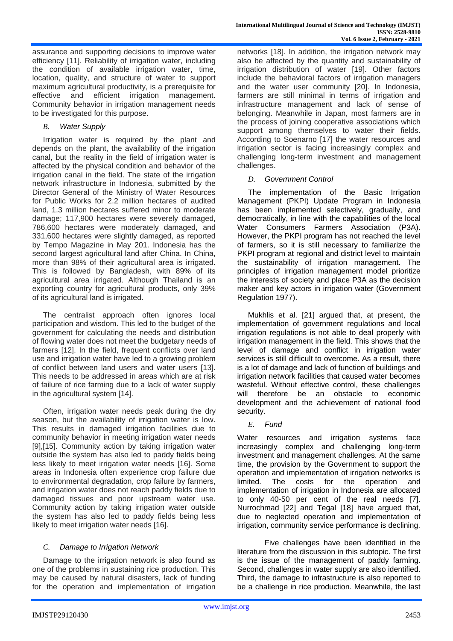assurance and supporting decisions to improve water efficiency [11]. Reliability of irrigation water, including the condition of available irrigation water, time, location, quality, and structure of water to support maximum agricultural productivity, is a prerequisite for effective and efficient irrigation management. Community behavior in irrigation management needs to be investigated for this purpose.

# *B. Water Supply*

Irrigation water is required by the plant and depends on the plant, the availability of the irrigation canal, but the reality in the field of irrigation water is affected by the physical condition and behavior of the irrigation canal in the field. The state of the irrigation network infrastructure in Indonesia, submitted by the Director General of the Ministry of Water Resources for Public Works for 2.2 million hectares of audited land, 1.3 million hectares suffered minor to moderate damage; 117,900 hectares were severely damaged, 786,600 hectares were moderately damaged, and 331,600 hectares were slightly damaged, as reported by Tempo Magazine in May 201. Indonesia has the second largest agricultural land after China. In China, more than 98% of their agricultural area is irrigated. This is followed by Bangladesh, with 89% of its agricultural area irrigated. Although Thailand is an exporting country for agricultural products, only 39% of its agricultural land is irrigated.

The centralist approach often ignores local participation and wisdom. This led to the budget of the government for calculating the needs and distribution of flowing water does not meet the budgetary needs of farmers [12]. In the field, frequent conflicts over land use and irrigation water have led to a growing problem of conflict between land users and water users [13]. This needs to be addressed in areas which are at risk of failure of rice farming due to a lack of water supply in the agricultural system [14].

Often, irrigation water needs peak during the dry season, but the availability of irrigation water is low. This results in damaged irrigation facilities due to community behavior in meeting irrigation water needs [9],[15]. Community action by taking irrigation water outside the system has also led to paddy fields being less likely to meet irrigation water needs [16]. Some areas in Indonesia often experience crop failure due to environmental degradation, crop failure by farmers, and irrigation water does not reach paddy fields due to damaged tissues and poor upstream water use. Community action by taking irrigation water outside the system has also led to paddy fields being less likely to meet irrigation water needs [16].

# *C. Damage to Irrigation Network*

Damage to the irrigation network is also found as one of the problems in sustaining rice production. This may be caused by natural disasters, lack of funding for the operation and implementation of irrigation networks [18]. In addition, the irrigation network may also be affected by the quantity and sustainability of irrigation distribution of water [19]. Other factors include the behavioral factors of irrigation managers and the water user community [20]. In Indonesia, farmers are still minimal in terms of irrigation and infrastructure management and lack of sense of belonging. Meanwhile in Japan, most farmers are in the process of joining cooperative associations which support among themselves to water their fields. According to Soenarno [17] the water resources and irrigation sector is facing increasingly complex and challenging long-term investment and management challenges.

#### *D. Government Control*

The implementation of the Basic Irrigation Management (PKPI) Update Program in Indonesia has been implemented selectively, gradually, and democratically, in line with the capabilities of the local Water Consumers Farmers Association (P3A). However, the PKPI program has not reached the level of farmers, so it is still necessary to familiarize the PKPI program at regional and district level to maintain the sustainability of irrigation management. The principles of irrigation management model prioritize the interests of society and place P3A as the decision maker and key actors in irrigation water (Government Regulation 1977).

Mukhlis et al. [21] argued that, at present, the implementation of government regulations and local irrigation regulations is not able to deal properly with irrigation management in the field. This shows that the level of damage and conflict in irrigation water services is still difficult to overcome. As a result, there is a lot of damage and lack of function of buildings and irrigation network facilities that caused water becomes wasteful. Without effective control, these challenges will therefore be an obstacle to economic development and the achievement of national food security.

*E. Fund* 

Water resources and irrigation systems face increasingly complex and challenging long-term investment and management challenges. At the same time, the provision by the Government to support the operation and implementation of irrigation networks is limited. The costs for the operation and implementation of irrigation in Indonesia are allocated to only 40-50 per cent of the real needs [7]. Nurrochmad [22] and Tegal [18] have argued that, due to neglected operation and implementation of irrigation, community service performance is declining.

Five challenges have been identified in the literature from the discussion in this subtopic. The first is the issue of the management of paddy farming. Second, challenges in water supply are also identified. Third, the damage to infrastructure is also reported to be a challenge in rice production. Meanwhile, the last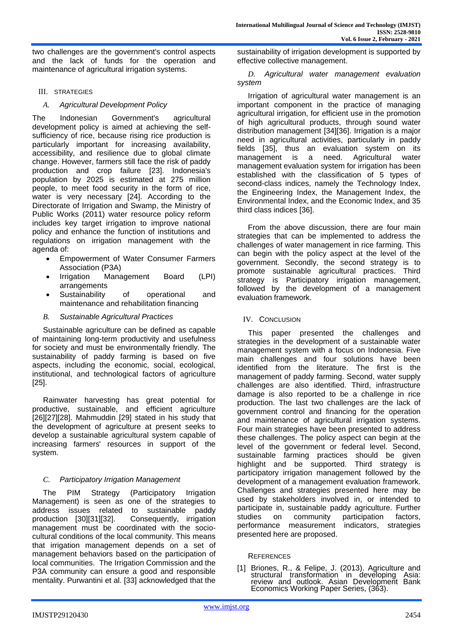two challenges are the government's control aspects and the lack of funds for the operation and maintenance of agricultural irrigation systems.

III. STRATEGIES

#### *A. Agricultural Development Policy*

The Indonesian Government's agricultural development policy is aimed at achieving the selfsufficiency of rice, because rising rice production is particularly important for increasing availability, accessibility, and resilience due to global climate change. However, farmers still face the risk of paddy production and crop failure [23]. Indonesia's population by 2025 is estimated at 275 million people, to meet food security in the form of rice, water is very necessary [24]. According to the Directorate of Irrigation and Swamp, the Ministry of Public Works (2011) water resource policy reform includes key target irrigation to improve national policy and enhance the function of institutions and regulations on irrigation management with the agenda of:

- Empowerment of Water Consumer Farmers Association (P3A)
- Irrigation Management Board (LPI) arrangements
- Sustainability of operational and maintenance and rehabilitation financing
- *B. Sustainable Agricultural Practices*

Sustainable agriculture can be defined as capable of maintaining long-term productivity and usefulness for society and must be environmentally friendly. The sustainability of paddy farming is based on five aspects, including the economic, social, ecological, institutional, and technological factors of agriculture [25].

Rainwater harvesting has great potential for productive, sustainable, and efficient agriculture [26][27][28]. Mahmuddin [29] stated in his study that the development of agriculture at present seeks to develop a sustainable agricultural system capable of increasing farmers' resources in support of the system.

# *C. Participatory Irrigation Management*

The PIM Strategy (Participatory Irrigation Management) is seen as one of the strategies to address issues related to sustainable paddy production [30][31][32]. Consequently, irrigation management must be coordinated with the sociocultural conditions of the local community. This means that irrigation management depends on a set of management behaviors based on the participation of local communities. The Irrigation Commission and the P3A community can ensure a good and responsible mentality. Purwantini et al. [33] acknowledged that the sustainability of irrigation development is supported by effective collective management.

*D. Agricultural water management evaluation system*

Irrigation of agricultural water management is an important component in the practice of managing agricultural irrigation, for efficient use in the promotion of high agricultural products, through sound water distribution management [34][36]. Irrigation is a major need in agricultural activities, particularly in paddy fields [35], thus an evaluation system on its management is a need. Agricultural water management evaluation system for irrigation has been established with the classification of 5 types of second-class indices, namely the Technology Index, the Engineering Index, the Management Index, the Environmental Index, and the Economic Index, and 35 third class indices [36].

From the above discussion, there are four main strategies that can be implemented to address the challenges of water management in rice farming. This can begin with the policy aspect at the level of the government. Secondly, the second strategy is to promote sustainable agricultural practices. Third strategy is Participatory irrigation management, followed by the development of a management evaluation framework.

IV. CONCLUSION

This paper presented the challenges and strategies in the development of a sustainable water management system with a focus on Indonesia. Five main challenges and four solutions have been identified from the literature. The first is the management of paddy farming. Second, water supply challenges are also identified. Third, infrastructure damage is also reported to be a challenge in rice production. The last two challenges are the lack of government control and financing for the operation and maintenance of agricultural irrigation systems. Four main strategies have been presented to address these challenges. The policy aspect can begin at the level of the government or federal level. Second, sustainable farming practices should be given highlight and be supported. Third strategy is participatory irrigation management followed by the development of a management evaluation framework. Challenges and strategies presented here may be used by stakeholders involved in, or intended to participate in, sustainable paddy agriculture. Further studies on community participation factors, performance measurement indicators, strategies presented here are proposed.

#### **REFERENCES**

[1] Briones, R., & Felipe, J. (2013). Agriculture and structural transformation in developing Asia: review and outlook. Asian Development Bank Economics Working Paper Series, (363).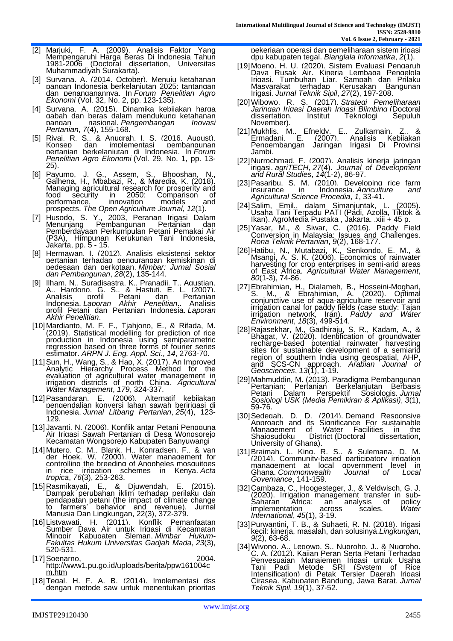- [2] Marjuki, F. A. (2009). Analisis Faktor Yang Mempengaruhi Hàrga Beras Di Indonesia Tahun 1981-2006 (Doctoral dissertation, Universitas Muhammadiyah Surakarta).
- [3] Suryana, A. (2014, October). Menuju ketahanan pangan Indonesia berkelanjutan 2025: tantangan dan penanganannya. In *Forum Penelitian Agro Ekonomi* (Vol. 32, No. 2, pp. 123-135).
- [4] Survana. A. (2015). Dinamika kebiiakan harga gabah dan beras dalam mendukung ketahanan pangan nasional. *Pengembangan Inovasi Pertanian*, *7*(4), 155-168.
- [5] Rivai, R. S., & Anugrah, I. S. (2016, August). Konsep dan implementasi pembangunan pertanian berkelanjutan di Indonesia. In *Forum Penelitian Agro Ekonomi* (Vol. 29, No. 1, pp. 13- 25).
- [6] Payumo, J. G., Assem, S., Bhooshan, N., Galhena, H., Mbabazi, R., & Maredia, K. (2018). Managing agricultural research for prosperity and<br>food security in 2050: Comparison of food security in 2050: Comparison of<br>performance, innovation models and performance, innovation models and prospects. *The Open Agriculture Journal*, *12*(1).
- [7] Husodo, S. Y., 2003, Peranan Irigasi Dalam Menunjang Pembangunan Pertanian dan Menunjang Pembangunan Pertanian dan<br>Pemberdayaan Perkumpulan Petani Pemakai Air (P3A), Himpunan Kerukunan Tani Indonesia, Jakarta, pp. 5 - 15.
- [8] Hermawan, I. (2012). Analisis eksistensi sektor pertanian terhadap pengurangan kemiskinan di pedesaan dan perkotaan. *Mimbar: Jurnal Sosial dan Pembangunan*, *28*(2), 135-144.
- [9] Ilham, N., Suradisastra, K., Pranadji, T., Agustian, A., Hardono, G. S., & Hastuti, E. L. (2007). Analisis profil Petani dan Pertanian Indonesia. *Laporan Akhir Penelitian*.. Analisis profil Petani dan Pertanian Indonesia. *Laporan Akhir Penelitian*.
- [10]Mardianto, M. F. F., Tjahjono, E., & Rifada, M. (2019). Statistical modelling for prediction of rice production in Indonesia using semiparametric regression based on three forms of fourier series estimator. *ARPN J. Eng. Appl. Sci.*, *14*, 2763-70.
- [11]Sun, H., Wang, S., & Hao, X. (2017). An Improved Analytic Hierarchy Process Method for the evaluation of agricultural water management in irrigation districts of north China. *Agricultural Water Management*, *179*, 324-337.
- [12]Pasandaran, E. (2006). Alternatif kebijakan pengendalian konversi lahan sawah beririgasi di Indonesia. *Jurnal Litbang Pertanian*, *25*(4), 123- 129.
- [13] Javanti. N. (2006). Konflik antar Petani Pengguna Air Irigasi Sawah Pertanian di Desa Wongsorejo Kecamatan Wongsorejo Kabupaten Banyuwangi
- [14]Mutero, C. M., Blank, H., Konradsen, F., & van der Hoek, W. (2000). Water management for controlling the breeding of Anopheles mosquitoes in rice irrigation schemes in Kenya. *Acta tropica*, *76*(3), 253-263.
- [15]Rasmikayati, E., & Djuwendah, E. (2015). Dampak perubahan iklim terhadap perilaku dan pendapatan petani (the impact of climate change to farmers' behavior and revenue). Jurnal Manusia Dan Lingkungan, 22(3), 372-379.
- [16]Listyawati, H. (2011). Konflik Pemanfaatan Sumber Daya Air untuk Irigasi di Kecamatan Minggir Kabupaten Sleman. *Mimbar Hukum-Fakultas Hukum Universitas Gadjah Mada*, *23*(3), 520-531.
- [17]Soenarno, 2004. [http://www1.pu.go.id/uploads/berita/ppw161004c](http://www1.pu.go.id/uploads/berita/ppw161004cm.htm) [m.htm](http://www1.pu.go.id/uploads/berita/ppw161004cm.htm)
- [18]Tegal, H. F. A. B. (2014). Implementasi dss dengan metode saw untuk menentukan prioritas

pekerjaan operasi dan pemeliharaan sistem irigasi dpu kabupaten tegal. *Bianglala Informatika*, *2*(1).

- [19]Moeno, H. U. (2020). Sistem Evaluasi Pengaruh Dava Rusak Air. Kineria Lembaga Pengelola Irigasi, Tumbuhan Liar, Sampah dan Prilaku Masyarakat terhadap Kerusakan Bangunan Irigasi. *Jurnal Teknik Sipil*, *27*(2), 197-208.
- [20]Wibowo, R. S. (2017). *Strategi Pemeliharaan Jaringan Irigasi Daerah Irigasi Blimbing* (Doctoral dissertation, Institut Teknologi Sepuluh November).
- [21]Mukhlis, M., Efneldy, E., Zulkarnain, Z., & Ermadani, E. (2007). Analisis Kebijakan Pengembangan Jaringan Irigasi Di Provinsi Jambi.
- [22]Nurrochmad, F. (2007). Analisis kinerja jaringan irigasi. *agriTECH*, *27*(4). *Journal of Development and Rural Studies*, *14*(1-2), 86-97.
- [23] Pasaribu, S. M. (2010). Developing rice farm<br>insurance in Indonesia Agriculture and Indonesia. Agriculture and *Agricultural Science Procedia*, *1*, 33-41.
- [24]Salim, Emil., dalam Simanjuntak, L. (2005). Usaha Tani Terpadu PATI (Padi, Azolla, Tiktok & Ikan). AgroMedia Pustaka , Jakarta. .xiii + 45 p.
- [25]Yasar, M., & Siwar, C. (2016). Paddy Field Conversion in Malaysia: Issues and Challenges. *Rona Teknik Pertanian*, *9*(2), 168-177.
- [26]Hatibu, N., Mutabazi, K., Senkondo, E. M., & Msangi, A. S. K. (2006). Economics of rainwater harvesting for crop enterprises in semi-arid areas of East Africa. *Agricultural Water Management*, *80*(1-3), 74-86.
- [27]Ebrahimian, H., Dialameh, B., Hosseini-Moghari, S. M., & Ebrahimian, A. (2020). Optimal conjunctive use of aqua-agriculture reservoir and irrigation canal for paddy fields (case study: Tajan irrigation network, Iran). *Paddy and Water Environment*, *18*(3), 499-514.
- [28]Rajasekhar, M., Gadhiraju, S. R., Kadam, A., & Bhagat, V. (2020). Identification of groundwater recharge-based potential rainwater harvesting sites for sustainable development of a semiarid region of southern India using geospatial, AHP, and SCS-CN approach. *Arabian Journal of Geosciences*, *13*(1), 1-19.
- [29]Mahmuddin, M. (2013). Paradigma Pembangunan Pertanian: Pertanian Berkelanjutan Berbasis Petani Dalam Perspektif Sosiologis. *Jurnal Sosiologi USK (Media Pemikiran & Aplikasi)*, *3*(1), 59-76.
- [30] Sedegah. D. D. (2014). Demand Responsive Approach and its Significance For sustainable<br>Management of Water Facilities in the Management of Water Facilities in the<br>Shaiosudoku District (Doctoral dissertation, District (Doctoral University of Ghana).
- [31]Braimah, I., King, R. S., & Sulemana, D. M. (2014). Community-based participatory irrigation management at local government level in Ghana. *Commonwealth Journal of Local Governance*, 141-159.
- [32]Cambaza, C., Hoogesteger, J., & Veldwisch, G. J. (2020). Irrigation management transfer in sub-Saharan Africa: an analysis of policy implementation across scales. Water *International*, *45*(1), 3-19.
- [33]Purwantini, T. B., & Suhaeti, R. N. (2018). Irigasi kecil: kinerja, masalah, dan solusinya.*Lingkungan*, *9*(2), 63-68.
- [34]Wiyono, A., Legowo, S., Nugroho, J., & Nugroho, C. A. (2012). Kajian Peran Serta Petani Terhadap Penyesuaian Manajemen Irigasi untuk Usaha Tani Padi Metode SRI (System of Rice Intensification) di Petak Tersier Daerah Irigasi Cirasea, Kabupaten Bandung, Jawa Barat. *Jurnal Teknik Sipil*, *19*(1), 37-52.